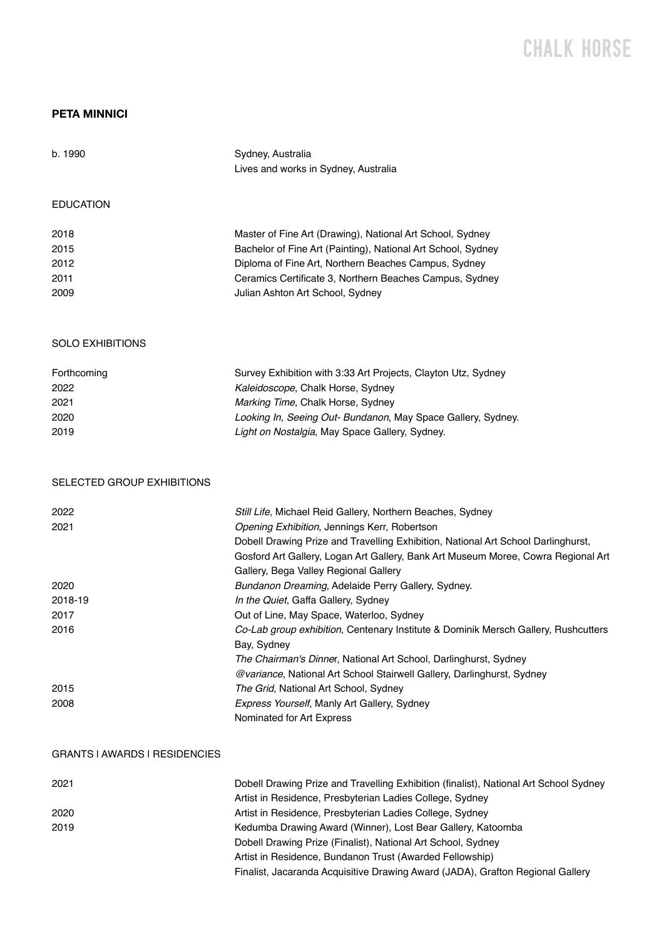## CHALK H0RSE

## **PETA MINNICI**

| b. 1990                              | Sydney, Australia<br>Lives and works in Sydney, Australia                                                                                         |
|--------------------------------------|---------------------------------------------------------------------------------------------------------------------------------------------------|
| <b>EDUCATION</b>                     |                                                                                                                                                   |
| 2018                                 | Master of Fine Art (Drawing), National Art School, Sydney                                                                                         |
| 2015                                 | Bachelor of Fine Art (Painting), National Art School, Sydney                                                                                      |
| 2012                                 | Diploma of Fine Art, Northern Beaches Campus, Sydney                                                                                              |
| 2011                                 | Ceramics Certificate 3, Northern Beaches Campus, Sydney                                                                                           |
| 2009                                 | Julian Ashton Art School, Sydney                                                                                                                  |
| <b>SOLO EXHIBITIONS</b>              |                                                                                                                                                   |
| Forthcoming                          | Survey Exhibition with 3:33 Art Projects, Clayton Utz, Sydney                                                                                     |
| 2022                                 | Kaleidoscope, Chalk Horse, Sydney                                                                                                                 |
| 2021                                 | Marking Time, Chalk Horse, Sydney                                                                                                                 |
| 2020                                 | Looking In, Seeing Out- Bundanon, May Space Gallery, Sydney.                                                                                      |
| 2019                                 | Light on Nostalgia, May Space Gallery, Sydney.                                                                                                    |
| SELECTED GROUP EXHIBITIONS           |                                                                                                                                                   |
| 2022                                 | Still Life, Michael Reid Gallery, Northern Beaches, Sydney                                                                                        |
| 2021                                 | Opening Exhibition, Jennings Kerr, Robertson                                                                                                      |
|                                      | Dobell Drawing Prize and Travelling Exhibition, National Art School Darlinghurst,                                                                 |
|                                      | Gosford Art Gallery, Logan Art Gallery, Bank Art Museum Moree, Cowra Regional Art                                                                 |
| 2020                                 | Gallery, Bega Valley Regional Gallery                                                                                                             |
| 2018-19                              | Bundanon Dreaming, Adelaide Perry Gallery, Sydney.<br>In the Quiet, Gaffa Gallery, Sydney                                                         |
| 2017                                 | Out of Line, May Space, Waterloo, Sydney                                                                                                          |
| 2016                                 | Co-Lab group exhibition, Centenary Institute & Dominik Mersch Gallery, Rushcutters                                                                |
|                                      | Bay, Sydney                                                                                                                                       |
|                                      | The Chairman's Dinner, National Art School, Darlinghurst, Sydney                                                                                  |
|                                      | @variance, National Art School Stairwell Gallery, Darlinghurst, Sydney                                                                            |
| 2015                                 | The Grid, National Art School, Sydney                                                                                                             |
| 2008                                 | Express Yourself, Manly Art Gallery, Sydney<br>Nominated for Art Express                                                                          |
| <b>GRANTS I AWARDS I RESIDENCIES</b> |                                                                                                                                                   |
| 2021                                 | Dobell Drawing Prize and Travelling Exhibition (finalist), National Art School Sydney<br>Artist in Residence, Presbyterian Ladies College, Sydney |
| 2020                                 | Artist in Residence, Presbyterian Ladies College, Sydney                                                                                          |
| 2019                                 | Kedumba Drawing Award (Winner), Lost Bear Gallery, Katoomba                                                                                       |
|                                      | Dobell Drawing Prize (Finalist), National Art School, Sydney                                                                                      |
|                                      | Artist in Residence, Bundanon Trust (Awarded Fellowship)                                                                                          |
|                                      | Finalist, Jacaranda Acquisitive Drawing Award (JADA), Grafton Regional Gallery                                                                    |